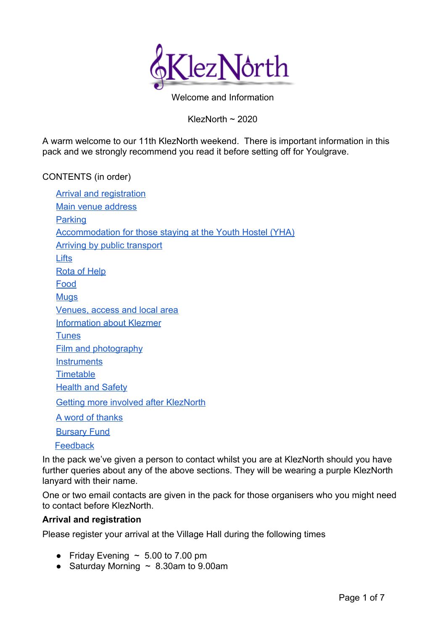

Welcome and Information

KlezNorth ~ 2020

A warm welcome to our 11th KlezNorth weekend. There is important information in this pack and we strongly recommend you read it before setting off for Youlgrave.

# CONTENTS (in order)

| <b>Arrival and registration</b>                                  |
|------------------------------------------------------------------|
| Main venue address                                               |
| <b>Parking</b>                                                   |
| <b>Accommodation for those staying at the Youth Hostel (YHA)</b> |
| <b>Arriving by public transport</b>                              |
| <b>Lifts</b>                                                     |
| <b>Rota of Help</b>                                              |
| Food                                                             |
| <u>Mugs</u>                                                      |
| Venues, access and local area                                    |
| <b>Information about Klezmer</b>                                 |
| <b>Tunes</b>                                                     |
| <b>Film and photography</b>                                      |
| <b>Instruments</b>                                               |
| <b>Timetable</b>                                                 |
| <b>Health and Safety</b>                                         |
| <b>Getting more involved after KlezNorth</b>                     |
| <u>A word of thanks</u>                                          |
| <b>Bursary Fund</b>                                              |
| Feedback                                                         |

In the pack we've given a person to contact whilst you are at KlezNorth should you have further queries about any of the above sections. They will be wearing a purple KlezNorth lanyard with their name.

One or two email contacts are given in the pack for those organisers who you might need to contact before KlezNorth.

### <span id="page-0-0"></span>**Arrival and registration**

Please register your arrival at the Village Hall during the following times

- Friday Evening  $\sim 5.00$  to 7.00 pm
- Saturday Morning  $\sim 8.30$ am to 9.00am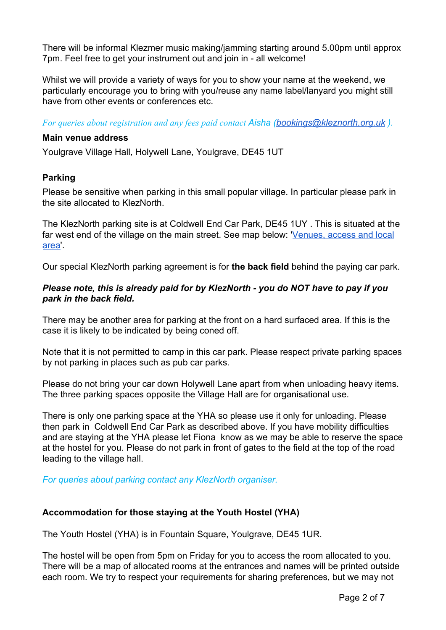There will be informal Klezmer music making/jamming starting around 5.00pm until approx 7pm. Feel free to get your instrument out and join in - all welcome!

Whilst we will provide a variety of ways for you to show your name at the weekend, we particularly encourage you to bring with you/reuse any name label/lanyard you might still have from other events or conferences etc.

*For queries about registration and any fees paid contact Aisha [\(bookings@kleznorth.org.uk](mailto:bookings@kleznorth.org.uk) ).*

#### <span id="page-1-0"></span>**Main venue address**

Youlgrave Village Hall, Holywell Lane, Youlgrave, DE45 1UT

### <span id="page-1-1"></span>**Parking**

Please be sensitive when parking in this small popular village. In particular please park in the site allocated to KlezNorth.

The KlezNorth parking site is at Coldwell End Car Park, DE45 1UY . This is situated at the far west end of the village on the main street. See map below: '[Venues, access and local](#page-3-2) [area](#page-3-2)'.

Our special KlezNorth parking agreement is for **the back field** behind the paying car park.

### *Please note, this is already paid for by KlezNorth - you do NOT have to pay if you park in the back field.*

There may be another area for parking at the front on a hard surfaced area. If this is the case it is likely to be indicated by being coned off.

Note that it is not permitted to camp in this car park. Please respect private parking spaces by not parking in places such as pub car parks.

Please do not bring your car down Holywell Lane apart from when unloading heavy items. The three parking spaces opposite the Village Hall are for organisational use.

There is only one parking space at the YHA so please use it only for unloading. Please then park in Coldwell End Car Park as described above. If you have mobility difficulties and are staying at the YHA please let Fiona know as we may be able to reserve the space at the hostel for you. Please do not park in front of gates to the field at the top of the road leading to the village hall.

*For queries about parking contact any KlezNorth organiser.*

# **Accommodation for those staying at the Youth Hostel (YHA)**

The Youth Hostel (YHA) is in Fountain Square, Youlgrave, DE45 1UR.

The hostel will be open from 5pm on Friday for you to access the room allocated to you. There will be a map of allocated rooms at the entrances and names will be printed outside each room. We try to respect your requirements for sharing preferences, but we may not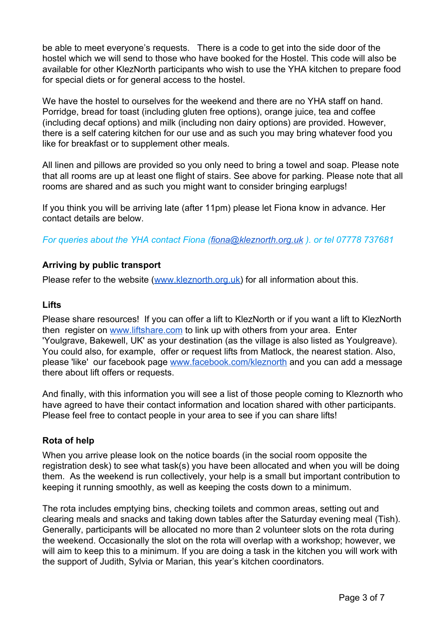be able to meet everyone's requests. There is a code to get into the side door of the hostel which we will send to those who have booked for the Hostel. This code will also be available for other KlezNorth participants who wish to use the YHA kitchen to prepare food for special diets or for general access to the hostel.

We have the hostel to ourselves for the weekend and there are no YHA staff on hand. Porridge, bread for toast (including gluten free options), orange juice, tea and coffee (including decaf options) and milk (including non dairy options) are provided. However, there is a self catering kitchen for our use and as such you may bring whatever food you like for breakfast or to supplement other meals.

All linen and pillows are provided so you only need to bring a towel and soap. Please note that all rooms are up at least one flight of stairs. See above for parking. Please note that all rooms are shared and as such you might want to consider bringing earplugs!

If you think you will be arriving late (after 11pm) please let Fiona know in advance. Her contact details are below.

*For queries about the YHA contact Fiona [\(fiona@kleznorth.org.uk](mailto:fiona@kleznorth.org.uk) ). or tel 07778 737681*

# <span id="page-2-0"></span>**Arriving by public transport**

Please refer to the website [\(www.kleznorth.org.uk](http://www.kleznorth.org.uk/)) for all information about this.

### <span id="page-2-1"></span>**Lifts**

Please share resources! If you can offer a lift to KlezNorth or if you want a lift to KlezNorth the[n](http://www.liftshare.com/) register on [www.liftshare.com](http://www.liftshare.com/) to link up with others from your area. Enter 'Youlgrave, Bakewell, UK' as your destination (as the village is also listed as Youlgreave). You could also, for example, offer or request lifts from Matlock, the nearest station. Also, please 'like' our facebook pag[e](http://www.facebook.com/kleznorth) [www.facebook.com/kleznorth](http://www.facebook.com/kleznorth) and you can add a message there about lift offers or requests.

And finally, with this information you will see a list of those people coming to Kleznorth who have agreed to have their contact information and location shared with other participants. Please feel free to contact people in your area to see if you can share lifts!

### <span id="page-2-2"></span>**Rota of help**

When you arrive please look on the notice boards (in the social room opposite the registration desk) to see what task(s) you have been allocated and when you will be doing them. As the weekend is run collectively, your help is a small but important contribution to keeping it running smoothly, as well as keeping the costs down to a minimum.

The rota includes emptying bins, checking toilets and common areas, setting out and clearing meals and snacks and taking down tables after the Saturday evening meal (Tish). Generally, participants will be allocated no more than 2 volunteer slots on the rota during the weekend. Occasionally the slot on the rota will overlap with a workshop; however, we will aim to keep this to a minimum. If you are doing a task in the kitchen you will work with the support of Judith, Sylvia or Marian, this year's kitchen coordinators.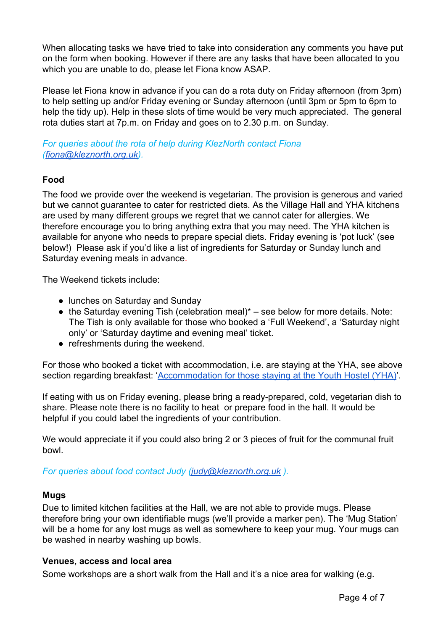When allocating tasks we have tried to take into consideration any comments you have put on the form when booking. However if there are any tasks that have been allocated to you which you are unable to do, please let Fiona know ASAP.

Please let Fiona know in advance if you can do a rota duty on Friday afternoon (from 3pm) to help setting up and/or Friday evening or Sunday afternoon (until 3pm or 5pm to 6pm to help the tidy up). Help in these slots of time would be very much appreciated. The general rota duties start at 7p.m. on Friday and goes on to 2.30 p.m. on Sunday.

*For queries about the rota of help during KlezNorth contact Fiona ([fiona@kleznorth.org.uk\)](mailto:fiona@kleznorth.org.uk).*

# <span id="page-3-0"></span>**Food**

The food we provide over the weekend is vegetarian. The provision is generous and varied but we cannot guarantee to cater for restricted diets. As the Village Hall and YHA kitchens are used by many different groups we regret that we cannot cater for allergies. We therefore encourage you to bring anything extra that you may need. The YHA kitchen is available for anyone who needs to prepare special diets. Friday evening is 'pot luck' (see below!) Please ask if you'd like a list of ingredients for Saturday or Sunday lunch and Saturday evening meals in advance.

The Weekend tickets include:

- lunches on Saturday and Sunday
- $\bullet$  the Saturday evening Tish (celebration meal)\* see below for more details. Note: The Tish is only available for those who booked a 'Full Weekend', a 'Saturday night only' or 'Saturday daytime and evening meal' ticket.
- refreshments during the weekend.

For those who booked a ticket with accommodation, i.e. are staying at the YHA, see above section regarding breakfast: 'Accommodation for those staying at the Youth Hostel (YHA)'.

If eating with us on Friday evening, please bring a ready-prepared, cold, vegetarian dish to share. Please note there is no facility to heat or prepare food in the hall. It would be helpful if you could label the ingredients of your contribution.

We would appreciate it if you could also bring 2 or 3 pieces of fruit for the communal fruit bowl.

*For queries about food contact Judy ([judy@kleznorth.org.uk](mailto:judy@kleznorth.org.uk) ).*

### <span id="page-3-1"></span>**Mugs**

Due to limited kitchen facilities at the Hall, we are not able to provide mugs. Please therefore bring your own identifiable mugs (we'll provide a marker pen). The 'Mug Station' will be a home for any lost mugs as well as somewhere to keep your mug. Your mugs can be washed in nearby washing up bowls.

### <span id="page-3-2"></span>**Venues, access and local area**

Some workshops are a short walk from the Hall and it's a nice area for walking (e.g.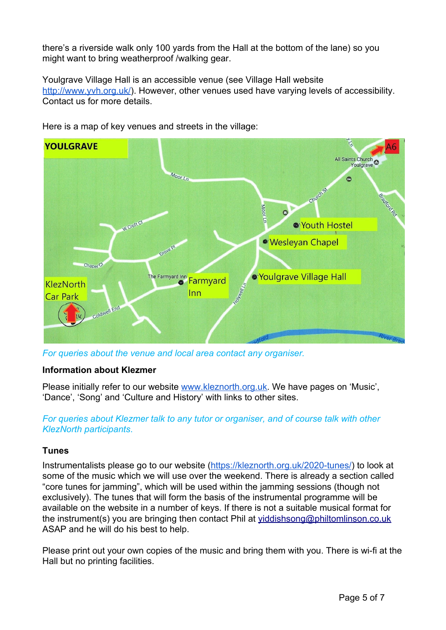there's a riverside walk only 100 yards from the Hall at the bottom of the lane) so you might want to bring weatherproof /walking gear.

Youlgrave Village Hall is an accessible venue (see Village Hall website [http://www.yvh.org.uk/\)](http://www.yvh.org.uk/). However, other venues used have varying levels of accessibility. Contact us for more details.



Here is a map of key venues and streets in the village:

*For queries about the venue and local area contact any organiser.*

### <span id="page-4-0"></span>**Information about Klezmer**

Please initially refer to our website [www.kleznorth.org.uk](http://www.kleznorth.org.uk/). We have pages on 'Music', 'Dance', 'Song' and 'Culture and History' with links to other sites.

# *For queries about Klezmer talk to any tutor or organiser, and of course talk with other KlezNorth participants*.

# <span id="page-4-1"></span>**Tunes**

Instrumentalists please go to our website [\(https://kleznorth.org.uk/2020-tunes/\)](https://kleznorth.org.uk/2020-tunes/) to look at some of the music which we will use over the weekend. There is already a section called "core tunes for jamming", which will be used within the jamming sessions (though not exclusively). The tunes that will form the basis of the instrumental programme will be available on the website in a number of keys. If there is not a suitable musical format for the instrument(s) you are bringing then contact Phil at [yiddishsong@philtomlinson.co.uk](mailto:yiddishsong@philtomlinson.co.uk) ASAP and he will do his best to help.

Please print out your own copies of the music and bring them with you. There is wi-fi at the Hall but no printing facilities.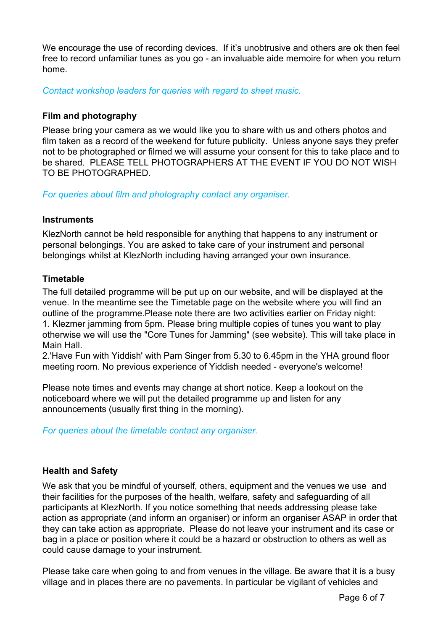We encourage the use of recording devices. If it's unobtrusive and others are ok then feel free to record unfamiliar tunes as you go - an invaluable aide memoire for when you return home.

*Contact workshop leaders for queries with regard to sheet music.* 

### <span id="page-5-0"></span>**Film and photography**

Please bring your camera as we would like you to share with us and others photos and film taken as a record of the weekend for future publicity. Unless anyone says they prefer not to be photographed or filmed we will assume your consent for this to take place and to be shared. PLEASE TELL PHOTOGRAPHERS AT THE EVENT IF YOU DO NOT WISH TO BE PHOTOGRAPHED.

*For queries about film and photography contact any organiser.*

### <span id="page-5-1"></span>**Instruments**

KlezNorth cannot be held responsible for anything that happens to any instrument or personal belongings. You are asked to take care of your instrument and personal belongings whilst at KlezNorth including having arranged your own insurance.

# <span id="page-5-2"></span>**Timetable**

The full detailed programme will be put up on our website, and will be displayed at the venue. In the meantime see the Timetable page on the website where you will find an outline of the programme.Please note there are two activities earlier on Friday night: 1. Klezmer jamming from 5pm. Please bring multiple copies of tunes you want to play otherwise we will use the "Core Tunes for Jamming" (see website). This will take place in Main Hall.

2.'Have Fun with Yiddish' with Pam Singer from 5.30 to 6.45pm in the YHA ground floor meeting room. No previous experience of Yiddish needed - everyone's welcome!

Please note times and events may change at short notice. Keep a lookout on the noticeboard where we will put the detailed programme up and listen for any announcements (usually first thing in the morning).

### *For queries about the timetable contact any organiser.*

### **Health and Safety**

We ask that you be mindful of yourself, others, equipment and the venues we use and their facilities for the purposes of the health, welfare, safety and safeguarding of all participants at KlezNorth. If you notice something that needs addressing please take action as appropriate (and inform an organiser) or inform an organiser ASAP in order that they can take action as appropriate. Please do not leave your instrument and its case or bag in a place or position where it could be a hazard or obstruction to others as well as could cause damage to your instrument.

Please take care when going to and from venues in the village. Be aware that it is a busy village and in places there are no pavements. In particular be vigilant of vehicles and